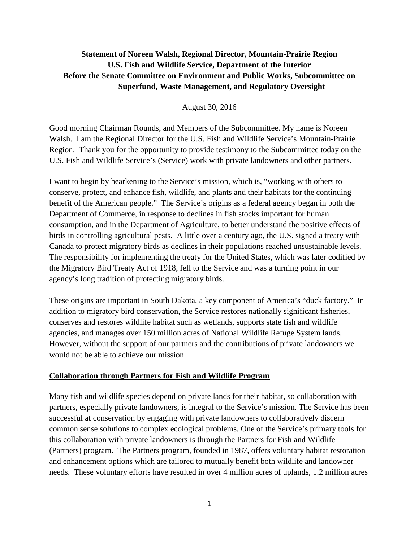# **Statement of Noreen Walsh, Regional Director, Mountain-Prairie Region U.S. Fish and Wildlife Service, Department of the Interior Before the Senate Committee on Environment and Public Works, Subcommittee on Superfund, Waste Management, and Regulatory Oversight**

August 30, 2016

Good morning Chairman Rounds, and Members of the Subcommittee. My name is Noreen Walsh. I am the Regional Director for the U.S. Fish and Wildlife Service's Mountain-Prairie Region. Thank you for the opportunity to provide testimony to the Subcommittee today on the U.S. Fish and Wildlife Service's (Service) work with private landowners and other partners.

I want to begin by hearkening to the Service's mission, which is, "working with others to conserve, protect, and enhance fish, wildlife, and plants and their habitats for the continuing benefit of the American people." The Service's origins as a federal agency began in both the Department of Commerce, in response to declines in fish stocks important for human consumption, and in the Department of Agriculture, to better understand the positive effects of birds in controlling agricultural pests. A little over a century ago, the U.S. signed a treaty with Canada to protect migratory birds as declines in their populations reached unsustainable levels. The responsibility for implementing the treaty for the United States, which was later codified by the Migratory Bird Treaty Act of 1918, fell to the Service and was a turning point in our agency's long tradition of protecting migratory birds.

These origins are important in South Dakota, a key component of America's "duck factory." In addition to migratory bird conservation, the Service restores nationally significant fisheries, conserves and restores wildlife habitat such as wetlands, supports state fish and wildlife agencies, and manages over 150 million acres of National Wildlife Refuge System lands. However, without the support of our partners and the contributions of private landowners we would not be able to achieve our mission.

## **Collaboration through Partners for Fish and Wildlife Program**

Many fish and wildlife species depend on private lands for their habitat, so collaboration with partners, especially private landowners, is integral to the Service's mission. The Service has been successful at conservation by engaging with private landowners to collaboratively discern common sense solutions to complex ecological problems. One of the Service's primary tools for this collaboration with private landowners is through the Partners for Fish and Wildlife (Partners) program. The Partners program, founded in 1987, offers voluntary habitat restoration and enhancement options which are tailored to mutually benefit both wildlife and landowner needs. These voluntary efforts have resulted in over 4 million acres of uplands, 1.2 million acres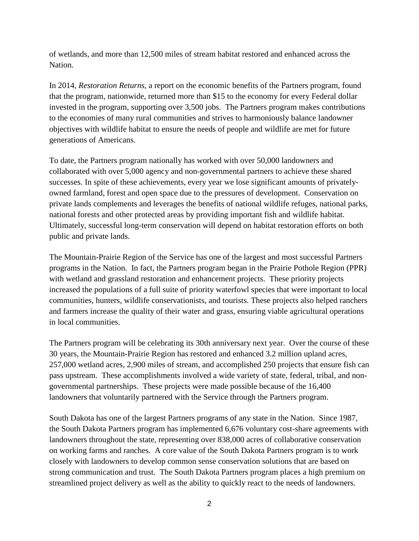of wetlands, and more than 12,500 miles of stream habitat restored and enhanced across the Nation.

In 2014, *Restoration Returns*, a report on the economic benefits of the Partners program, found that the program, nationwide, returned more than \$15 to the economy for every Federal dollar invested in the program, supporting over 3,500 jobs. The Partners program makes contributions to the economies of many rural communities and strives to harmoniously balance landowner objectives with wildlife habitat to ensure the needs of people and wildlife are met for future generations of Americans.

To date, the Partners program nationally has worked with over 50,000 landowners and collaborated with over 5,000 agency and non-governmental partners to achieve these shared successes. In spite of these achievements, every year we lose significant amounts of privatelyowned farmland, forest and open space due to the pressures of development. Conservation on private lands complements and leverages the benefits of national wildlife refuges, national parks, national forests and other protected areas by providing important fish and wildlife habitat. Ultimately, successful long-term conservation will depend on habitat restoration efforts on both public and private lands.

The Mountain-Prairie Region of the Service has one of the largest and most successful Partners programs in the Nation. In fact, the Partners program began in the Prairie Pothole Region (PPR) with wetland and grassland restoration and enhancement projects. These priority projects increased the populations of a full suite of priority waterfowl species that were important to local communities, hunters, wildlife conservationists, and tourists. These projects also helped ranchers and farmers increase the quality of their water and grass, ensuring viable agricultural operations in local communities.

The Partners program will be celebrating its 30th anniversary next year. Over the course of these 30 years, the Mountain-Prairie Region has restored and enhanced 3.2 million upland acres, 257,000 wetland acres, 2,900 miles of stream, and accomplished 250 projects that ensure fish can pass upstream. These accomplishments involved a wide variety of state, federal, tribal, and nongovernmental partnerships. These projects were made possible because of the 16,400 landowners that voluntarily partnered with the Service through the Partners program.

South Dakota has one of the largest Partners programs of any state in the Nation. Since 1987, the South Dakota Partners program has implemented 6,676 voluntary cost-share agreements with landowners throughout the state, representing over 838,000 acres of collaborative conservation on working farms and ranches. A core value of the South Dakota Partners program is to work closely with landowners to develop common sense conservation solutions that are based on strong communication and trust. The South Dakota Partners program places a high premium on streamlined project delivery as well as the ability to quickly react to the needs of landowners.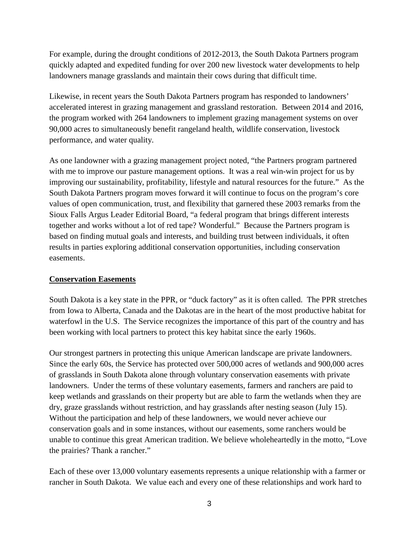For example, during the drought conditions of 2012-2013, the South Dakota Partners program quickly adapted and expedited funding for over 200 new livestock water developments to help landowners manage grasslands and maintain their cows during that difficult time.

Likewise, in recent years the South Dakota Partners program has responded to landowners' accelerated interest in grazing management and grassland restoration. Between 2014 and 2016, the program worked with 264 landowners to implement grazing management systems on over 90,000 acres to simultaneously benefit rangeland health, wildlife conservation, livestock performance, and water quality.

As one landowner with a grazing management project noted, "the Partners program partnered with me to improve our pasture management options. It was a real win-win project for us by improving our sustainability, profitability, lifestyle and natural resources for the future." As the South Dakota Partners program moves forward it will continue to focus on the program's core values of open communication, trust, and flexibility that garnered these 2003 remarks from the Sioux Falls Argus Leader Editorial Board, "a federal program that brings different interests together and works without a lot of red tape? Wonderful." Because the Partners program is based on finding mutual goals and interests, and building trust between individuals, it often results in parties exploring additional conservation opportunities, including conservation easements.

### **Conservation Easements**

South Dakota is a key state in the PPR, or "duck factory" as it is often called. The PPR stretches from Iowa to Alberta, Canada and the Dakotas are in the heart of the most productive habitat for waterfowl in the U.S. The Service recognizes the importance of this part of the country and has been working with local partners to protect this key habitat since the early 1960s.

Our strongest partners in protecting this unique American landscape are private landowners. Since the early 60s, the Service has protected over 500,000 acres of wetlands and 900,000 acres of grasslands in South Dakota alone through voluntary conservation easements with private landowners. Under the terms of these voluntary easements, farmers and ranchers are paid to keep wetlands and grasslands on their property but are able to farm the wetlands when they are dry, graze grasslands without restriction, and hay grasslands after nesting season (July 15). Without the participation and help of these landowners, we would never achieve our conservation goals and in some instances, without our easements, some ranchers would be unable to continue this great American tradition. We believe wholeheartedly in the motto, "Love the prairies? Thank a rancher."

Each of these over 13,000 voluntary easements represents a unique relationship with a farmer or rancher in South Dakota. We value each and every one of these relationships and work hard to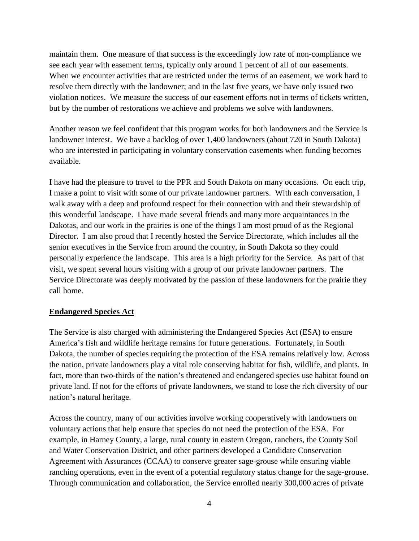maintain them. One measure of that success is the exceedingly low rate of non-compliance we see each year with easement terms, typically only around 1 percent of all of our easements. When we encounter activities that are restricted under the terms of an easement, we work hard to resolve them directly with the landowner; and in the last five years, we have only issued two violation notices. We measure the success of our easement efforts not in terms of tickets written, but by the number of restorations we achieve and problems we solve with landowners.

Another reason we feel confident that this program works for both landowners and the Service is landowner interest. We have a backlog of over 1,400 landowners (about 720 in South Dakota) who are interested in participating in voluntary conservation easements when funding becomes available.

I have had the pleasure to travel to the PPR and South Dakota on many occasions. On each trip, I make a point to visit with some of our private landowner partners. With each conversation, I walk away with a deep and profound respect for their connection with and their stewardship of this wonderful landscape. I have made several friends and many more acquaintances in the Dakotas, and our work in the prairies is one of the things I am most proud of as the Regional Director. I am also proud that I recently hosted the Service Directorate, which includes all the senior executives in the Service from around the country, in South Dakota so they could personally experience the landscape. This area is a high priority for the Service. As part of that visit, we spent several hours visiting with a group of our private landowner partners. The Service Directorate was deeply motivated by the passion of these landowners for the prairie they call home.

### **Endangered Species Act**

The Service is also charged with administering the Endangered Species Act (ESA) to ensure America's fish and wildlife heritage remains for future generations. Fortunately, in South Dakota, the number of species requiring the protection of the ESA remains relatively low. Across the nation, private landowners play a vital role conserving habitat for fish, wildlife, and plants. In fact, more than two-thirds of the nation's threatened and endangered species use habitat found on private land. If not for the efforts of private landowners, we stand to lose the rich diversity of our nation's natural heritage.

Across the country, many of our activities involve working cooperatively with landowners on voluntary actions that help ensure that species do not need the protection of the ESA. For example, in Harney County, a large, rural county in eastern Oregon, ranchers, the County Soil and Water Conservation District, and other partners developed a Candidate Conservation Agreement with Assurances (CCAA) to conserve greater sage-grouse while ensuring viable ranching operations, even in the event of a potential regulatory status change for the sage-grouse. Through communication and collaboration, the Service enrolled nearly 300,000 acres of private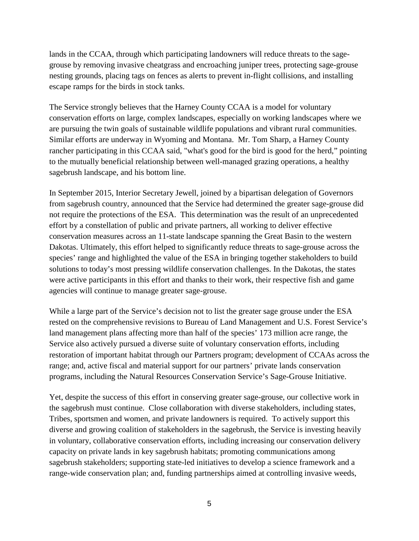lands in the CCAA, through which participating landowners will reduce threats to the sagegrouse by removing invasive cheatgrass and encroaching juniper trees, protecting sage-grouse nesting grounds, placing tags on fences as alerts to prevent in-flight collisions, and installing escape ramps for the birds in stock tanks.

The Service strongly believes that the Harney County CCAA is a model for voluntary conservation efforts on large, complex landscapes, especially on working landscapes where we are pursuing the twin goals of sustainable wildlife populations and vibrant rural communities. Similar efforts are underway in Wyoming and Montana. Mr. Tom Sharp, a Harney County rancher participating in this CCAA said, "what's good for the bird is good for the herd," pointing to the mutually beneficial relationship between well-managed grazing operations, a healthy sagebrush landscape, and his bottom line.

In September 2015, Interior Secretary Jewell, joined by a bipartisan delegation of Governors from sagebrush country, announced that the Service had determined the greater sage-grouse did not require the protections of the ESA. This determination was the result of an unprecedented effort by a constellation of public and private partners, all working to deliver effective conservation measures across an 11-state landscape spanning the Great Basin to the western Dakotas. Ultimately, this effort helped to significantly reduce threats to sage-grouse across the species' range and highlighted the value of the ESA in bringing together stakeholders to build solutions to today's most pressing wildlife conservation challenges. In the Dakotas, the states were active participants in this effort and thanks to their work, their respective fish and game agencies will continue to manage greater sage-grouse.

While a large part of the Service's decision not to list the greater sage grouse under the ESA rested on the comprehensive revisions to Bureau of Land Management and U.S. Forest Service's land management plans affecting more than half of the species' 173 million acre range, the Service also actively pursued a diverse suite of voluntary conservation efforts, including restoration of important habitat through our Partners program; development of CCAAs across the range; and, active fiscal and material support for our partners' private lands conservation programs, including the Natural Resources Conservation Service's Sage-Grouse Initiative.

Yet, despite the success of this effort in conserving greater sage-grouse, our collective work in the sagebrush must continue. Close collaboration with diverse stakeholders, including states, Tribes, sportsmen and women, and private landowners is required. To actively support this diverse and growing coalition of stakeholders in the sagebrush, the Service is investing heavily in voluntary, collaborative conservation efforts, including increasing our conservation delivery capacity on private lands in key sagebrush habitats; promoting communications among sagebrush stakeholders; supporting state-led initiatives to develop a science framework and a range-wide conservation plan; and, funding partnerships aimed at controlling invasive weeds,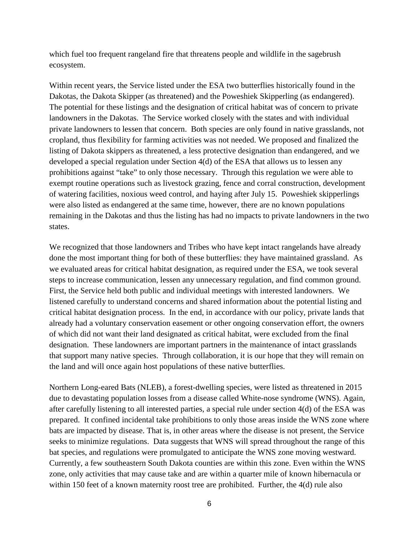which fuel too frequent rangeland fire that threatens people and wildlife in the sagebrush ecosystem.

Within recent years, the Service listed under the ESA two butterflies historically found in the Dakotas, the Dakota Skipper (as threatened) and the Poweshiek Skipperling (as endangered). The potential for these listings and the designation of critical habitat was of concern to private landowners in the Dakotas. The Service worked closely with the states and with individual private landowners to lessen that concern. Both species are only found in native grasslands, not cropland, thus flexibility for farming activities was not needed. We proposed and finalized the listing of Dakota skippers as threatened, a less protective designation than endangered, and we developed a special regulation under Section 4(d) of the ESA that allows us to lessen any prohibitions against "take" to only those necessary. Through this regulation we were able to exempt routine operations such as livestock grazing, fence and corral construction, development of watering facilities, noxious weed control, and haying after July 15. Poweshiek skipperlings were also listed as endangered at the same time, however, there are no known populations remaining in the Dakotas and thus the listing has had no impacts to private landowners in the two states.

We recognized that those landowners and Tribes who have kept intact rangelands have already done the most important thing for both of these butterflies: they have maintained grassland. As we evaluated areas for critical habitat designation, as required under the ESA, we took several steps to increase communication, lessen any unnecessary regulation, and find common ground. First, the Service held both public and individual meetings with interested landowners. We listened carefully to understand concerns and shared information about the potential listing and critical habitat designation process. In the end, in accordance with our policy, private lands that already had a voluntary conservation easement or other ongoing conservation effort, the owners of which did not want their land designated as critical habitat, were excluded from the final designation. These landowners are important partners in the maintenance of intact grasslands that support many native species. Through collaboration, it is our hope that they will remain on the land and will once again host populations of these native butterflies.

Northern Long-eared Bats (NLEB), a forest-dwelling species, were listed as threatened in 2015 due to devastating population losses from a disease called White-nose syndrome (WNS). Again, after carefully listening to all interested parties, a special rule under section 4(d) of the ESA was prepared. It confined incidental take prohibitions to only those areas inside the WNS zone where bats are impacted by disease. That is, in other areas where the disease is not present, the Service seeks to minimize regulations. Data suggests that WNS will spread throughout the range of this bat species, and regulations were promulgated to anticipate the WNS zone moving westward. Currently, a few southeastern South Dakota counties are within this zone. Even within the WNS zone, only activities that may cause take and are within a quarter mile of known hibernacula or within 150 feet of a known maternity roost tree are prohibited. Further, the 4(d) rule also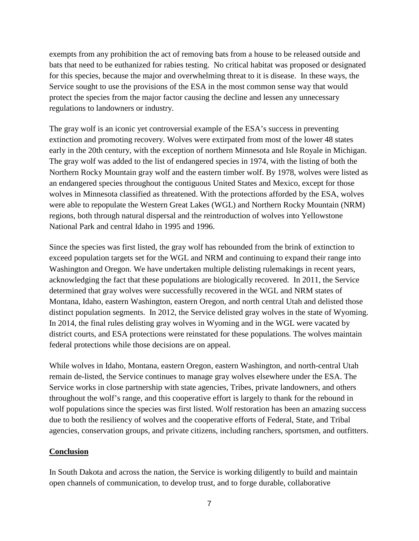exempts from any prohibition the act of removing bats from a house to be released outside and bats that need to be euthanized for rabies testing. No critical habitat was proposed or designated for this species, because the major and overwhelming threat to it is disease. In these ways, the Service sought to use the provisions of the ESA in the most common sense way that would protect the species from the major factor causing the decline and lessen any unnecessary regulations to landowners or industry.

The gray wolf is an iconic yet controversial example of the ESA's success in preventing extinction and promoting recovery. Wolves were extirpated from most of the lower 48 states early in the 20th century, with the exception of northern Minnesota and Isle Royale in Michigan. The gray wolf was added to the list of endangered species in 1974, with the listing of both the Northern Rocky Mountain gray wolf and the eastern timber wolf. By 1978, wolves were listed as an endangered species throughout the contiguous United States and Mexico, except for those wolves in Minnesota classified as threatened. With the protections afforded by the ESA, wolves were able to repopulate the Western Great Lakes (WGL) and Northern Rocky Mountain (NRM) regions, both through natural dispersal and the reintroduction of wolves into Yellowstone National Park and central Idaho in 1995 and 1996.

Since the species was first listed, the gray wolf has rebounded from the brink of extinction to exceed population targets set for the WGL and NRM and continuing to expand their range into Washington and Oregon. We have undertaken multiple delisting rulemakings in recent years, acknowledging the fact that these populations are biologically recovered. In 2011, the Service determined that gray wolves were successfully recovered in the WGL and NRM states of Montana, Idaho, eastern Washington, eastern Oregon, and north central Utah and delisted those distinct population segments. In 2012, the Service delisted gray wolves in the state of Wyoming. In 2014, the final rules delisting gray wolves in Wyoming and in the WGL were vacated by district courts, and ESA protections were reinstated for these populations. The wolves maintain federal protections while those decisions are on appeal.

While wolves in Idaho, Montana, eastern Oregon, eastern Washington, and north-central Utah remain de-listed, the Service continues to manage gray wolves elsewhere under the ESA. The Service works in close partnership with state agencies, Tribes, private landowners, and others throughout the wolf's range, and this cooperative effort is largely to thank for the rebound in wolf populations since the species was first listed. Wolf restoration has been an amazing success due to both the resiliency of wolves and the cooperative efforts of Federal, State, and Tribal agencies, conservation groups, and private citizens, including ranchers, sportsmen, and outfitters.

### **Conclusion**

In South Dakota and across the nation, the Service is working diligently to build and maintain open channels of communication, to develop trust, and to forge durable, collaborative